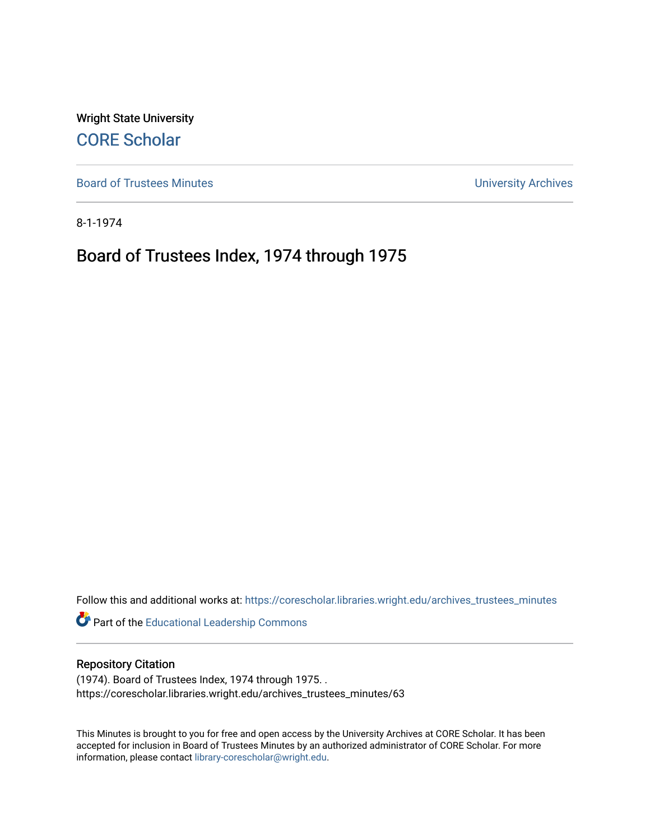Wright State University [CORE Scholar](https://corescholar.libraries.wright.edu/)

[Board of Trustees Minutes](https://corescholar.libraries.wright.edu/archives_trustees_minutes) **Exercise 2018** Solution 2018 10:30 Minutes University Archives

8-1-1974

## Board of Trustees Index, 1974 through 1975

Follow this and additional works at: [https://corescholar.libraries.wright.edu/archives\\_trustees\\_minutes](https://corescholar.libraries.wright.edu/archives_trustees_minutes?utm_source=corescholar.libraries.wright.edu%2Farchives_trustees_minutes%2F63&utm_medium=PDF&utm_campaign=PDFCoverPages) 

Part of the [Educational Leadership Commons](https://network.bepress.com/hgg/discipline/1230?utm_source=corescholar.libraries.wright.edu%2Farchives_trustees_minutes%2F63&utm_medium=PDF&utm_campaign=PDFCoverPages) 

## Repository Citation

(1974). Board of Trustees Index, 1974 through 1975. . https://corescholar.libraries.wright.edu/archives\_trustees\_minutes/63

This Minutes is brought to you for free and open access by the University Archives at CORE Scholar. It has been accepted for inclusion in Board of Trustees Minutes by an authorized administrator of CORE Scholar. For more information, please contact [library-corescholar@wright.edu.](mailto:library-corescholar@wright.edu)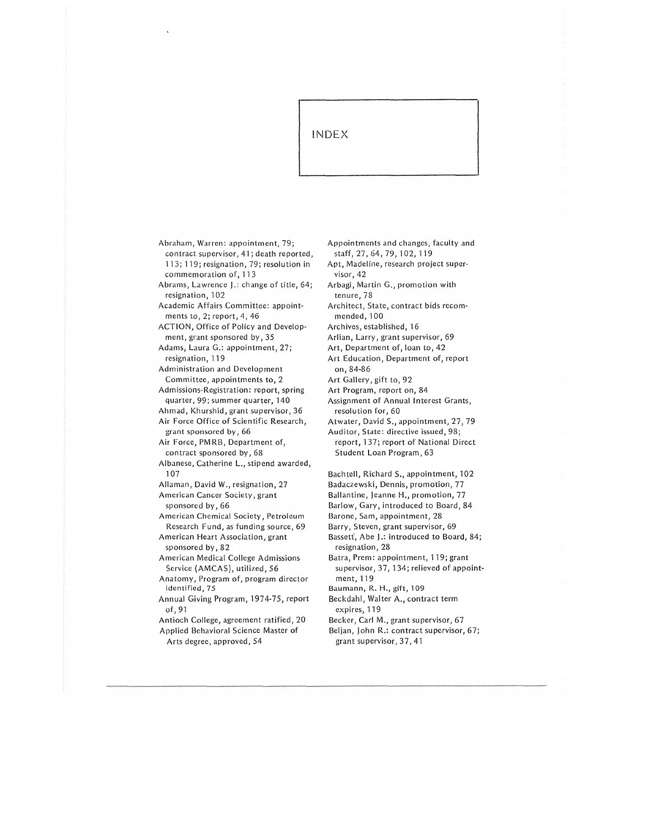## INDEX

- Abraham, Warren: appointment, 79; contract supervisor, 41; death reported, 113; 119; resignation, 79; resolution in commemoration of, 113 Abrams, Lawrence J.: change of title, 64; resignation, 102 Academic Affairs Committee: appoint ments to, 2; report, 4, 46 ACTION, Office of Policy and Develop· ment, grant sponsored by, 35 Adams, Laura G.: appointment, 27; resignation, 119 Administration and Development Committee, appointments to, 2 Admissions-Registration: report, spring quarter, 99; summer quarter, 140 Ahmad, Khurshid, grant supervisor, 36 Air Force Office of Scientific Research, grant sponsored by, 66 Air Force, PMRB, Department of, contract sponsored by, 68 Albanese, Catherine L., stipend awarded, 107 Allaman, David W., resignation, 27 American Cancer Society, grant sponsored by, 66 American Chemical Society, Petroleum Research Fund, as funding source, 69 American Heart Association, grant sponsored by, 82 American Medical College Admissions Service (AMCAS), utilized, 56 Anatomy, Program of, program director identified, 75 Annual Giving Program, 1974-75, report of, 91 Antioch College, agreement ratified, 20 Applied Behavioral Science Master of
	- Arts degree, approved, 54

Appointments and changes, faculty and staff, 27, 64, 79, 102, 119

- Apt, Madeline, research project super visor, 42
- Arbagi, Martin G., promotion with tenure, 78

Architect, State, contract bids recommended, 100

Archives, established, 16

Arlian, Larry, grant supervisor, 69

Art, Department of, loan to, 42

Art Education, Department of, report on, 84-86

- Art Gallery, gift to, 92
- Art Program, report on, 84
- Assignment of Annual Interest Grants, resolution for, 60
- Atwater, David S., appointment, 27, 79

Auditor, State: directive issued, 98; report, 137; report of National Direct Student Loan Program, 63

Bachtell, Richard S., appointment, 102 Badaczewski, Dennis, promotion, 77 Ballantine, Jeanne H., promotion, 77

Barlow, Gary, introduced to Board, 84

Barone, Sam, appointment, 28

Barry, Steven, grant supervisor, 69 Bassett, Abe J.: introduced to Board, 84;

resignation, 28 Batra, Prem: appointment, 119; grant

supervisor, 37, 134; relieved of appoint ment, 119

Baumann, R. H., gift, 109

Beckdahl, Walter A., contract term expires, 119

Becker, Carl M., grant supervisor, 67

Beljan, John R.: contract supervisor, 67; grant supervisor, 37, 41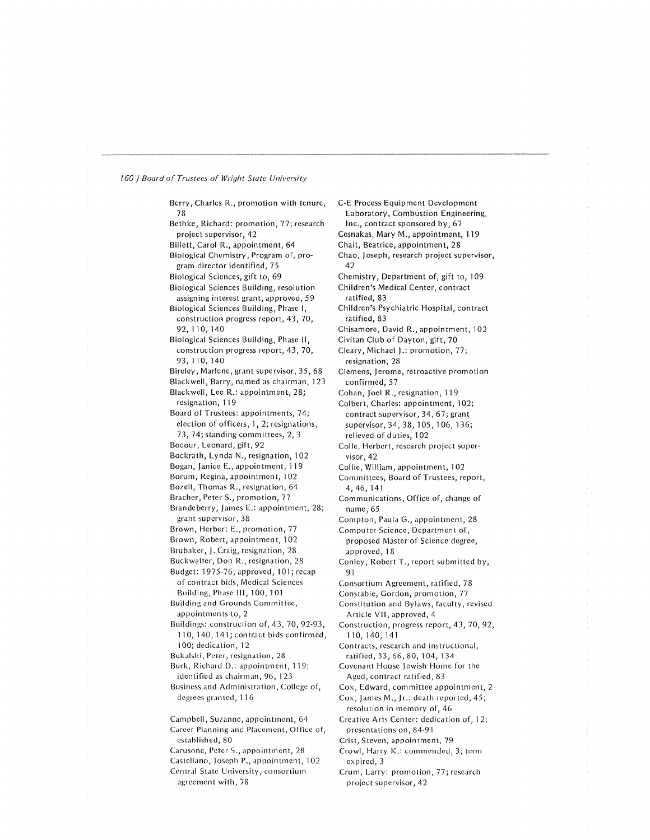Berry, Charles R., promotion with tenure, 78 Bethke, Richard: promotion, 77; research project supervisor, 42 Billett, Carol R., appointment, 64 Biological Chemistry, Program of, pro gram director identified, 75 Biological Sciences, gift to, 69 Biological Sciences Building, resolution assigning interest grant, approved, 59 Biological Sciences Building, Phase I, construction progress report, 43, 70, 92,110,140 Biological Sciences Building, Phase 11, construction progress report, 43, 70, 93,110,140 Bireley, Marlene, grant supervisor, 35, 68 Blackwell, Barry, named as chairman, 123 Blackwell, Lee R.: appointment, 28; resignation, 119 Board of Trustees: appointments, 74; election of officers, 1, 2; resignations, 73, 74; standing committees, 2, 3 Bocour, Leonard, gift, 92 Bockrath, Lynda N., resignation, 102 Bogan, Janice E., appointment, 119 Borum, Regina, appointment, 102 Bozell, Thomas R., resignation, 64 Bracher, Peter S., promotion, 77 Brandeberry, James E.: appointment, 28; grant supervisor, 38 Brown, Herbert E., promotion, 77 Brown, Robert, appointment, 102 Brubaker, J. Craig, resignation, 28 Buckwalter, Don R., resignation, 28 Budget: 1975-76, approved, 101; recap of contract bids, Medical Sciences Building, Phase Ill, 100, 101 Building and Grounds Committee, appointments to, 2 Buildings: construction of, 43, 70, 92-93, 110, 140, 141; contract bids confirmed, 100; dedication, 12 Bukalski, Peter, resignation, 28 Burk, Richard D.: appointment, 119; identified as chairman, 96, 123 Business and Administration, College of, degrees granted, 116 Campbell, Suzanne, appointment, 64 Career Planning and Placement, Office of, established, 80 Carusone, Peter S., appointment, 28 Castellano, Joseph P., appointment, 102 Central State University, consortium agreement with, 78

C-E Process Equipment Development Laboratory, Combustion Engineering, Inc., contract sponsored by, 67 Cesnakas, Mary M., appointment, 119 Chait, Beatrice, appointment, 28 Chao, Joseph, research project supervisor, 42 Chemistry, Department of, gift to, 109 Children's Medical Center, contract ratified, 83 Children's Psychiatric Hospital, contract ratified, 83 Chisamore, David R., appointment, 102 Civitan Club of Dayton, gift, 70 Cleary, Michael J.: promotion, 77; resignation, 28 Clemens, Jerome, retroactive promotion confirmed, 57 Cohan, Joel R., resignation, 119 Colbert, Charles: appointment, 102; contract supervisor, 34, 67; grant supervisor, 34, 38, 105, 106, 136; relieved of duties, 102 Colic, Herbert, research project super visor, 42 Collie, William, appointment, 102 Committees, Board of Trustees, report, 4, 46, 141 Communications, Office of, change of name, 65 Compton, Paula G., appointment, 28 Computer Science, Department of, proposed Master of Science degree, approved, 18 Conley, Robert T., report submitted by, 91 Consortium Agreement, ratified, 7 8 Constable, Gordon, promotion, 77 Constitution and Bylaws, faculty, revised Article VII, approved, 4 Construction, progress report, 43, 70, 92, 110, 140, 141 Contracts, research and instructional, ratified, 33, 66, 80, 104, 134 Covenant House Jewish Home for the Aged, contract ratified, 83 Cox, Edward, committee appointment, 2 Cox, James M., Jr.: death reported, 45; resolution in memory of, 46 Creative Arts Center: dedication of, 12; presentations on, 84-91 Crist, Steven, appointment, 79 Crowl, Harry K.: commended, 3; term expired, 3 Crum, Larry: promotion, 77; research project supervisor, 42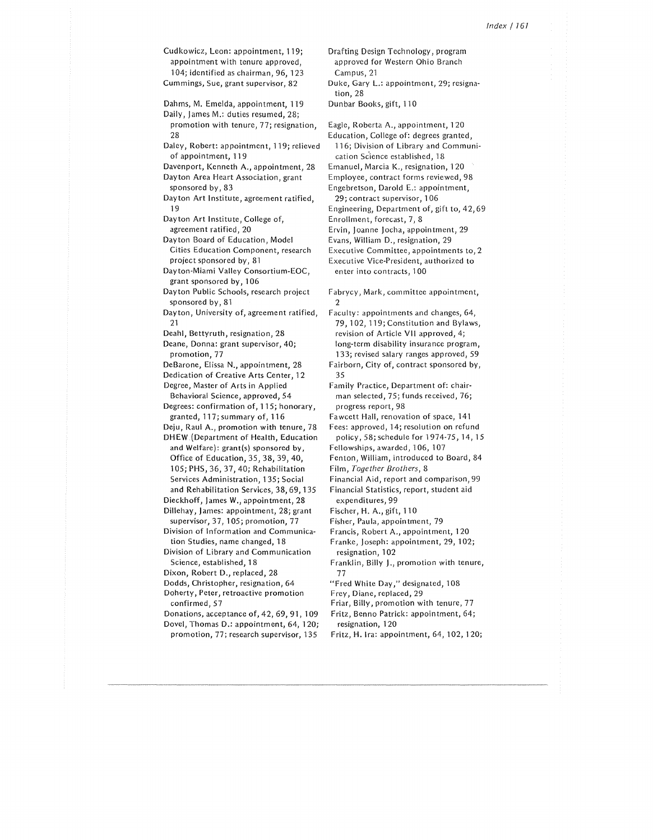Cudkowicz, Leon: appointment, 119; appointment with tenure approved, 104; identified as chairman, 96, 123 Cummings, Sue, grant supervisor, 82

Dahms, M. Emelda, appointment, 119

Daily, James M.: duties resumed, 28; promotion with tenure, 77; resignation, 28

- Daley, Robert: appointment, 119; relieved of appointment, 119
- Davenport, Kenneth A., appointment, 28

Dayton Area Heart Association, grant sponsored by, 83

- Dayton Art Institute, agreement ratified, 19
- Dayton Art Institute, College of, agreement ratified, 20
- Dayton Board of Education, Model Cities Education Component, research project sponsored by, 81

Dayton-Miami Valley Consortium-EOC, grant sponsored by, 106

- Dayton Public Schools, research project sponsored by, 81
- Dayton, University of, agreement ratified, 21
- Deahl, Bettyruth, resignation, 28

Deane, Donna: grant supervisor, 40; promotion, 77

- DeBarone, Elissa N., appointment, 28
- Dedication of Creative Arts Center, 12

Degree, Master of Arts in Applied Behavioral Science, approved, 54

- Degrees: confirmation of, 115; honorary, granted, 117; summary of, 116
- Deju, Raul A., promotion with tenure, 78
- DHEW (Department of Health, Education and Welfare): grant(s) sponsored by, Office of Education, 35, 38, 39, 40, 105; PHS, 36, 37, 40; Rehabilitation Services Administration, 135; Social and Rehabilitation Services, 38, 69, 135

Dieckhoff, James W., appointment, 28

- Dillehay, James: appointment, 28; grant supervisor, 37, 105; promotion, 77
- Division of Information and Communica tion Studies, name changed, 18
- Division of Library and Communication Science, established, 18
- Dixon, Robert D., replaced, 28
- Dodds, Christopher, resignation, 64
- Doherty, Peter, retroactive promotion confirmed, 57
- Donations, acceptance of, 42, 69, 91, 109
- Dovel, Thomas D.: appointment, 64, 120;
- promotion, 77; research supervisor, 135

Drafting Design Technology, program approved for Western Ohio Branch Campus, 21 Duke, Gary L.: appointment, 29; resigna tion, 28 Dunbar Books, gift, 110

Eagle, Roberta A., appointment, 120 Education, College of: degrees granted, 116; Division of Library and Communi cation Science established, 18 Emanuel, Marcia K., resignation, 120 Employee, contract forms reviewed, 98 Engebretson, Darold E.: appointment, 29; contract supervisor, 106 Engineering, Department of, gift to, 42, 69 Enrollment, forecast, 7, 8 Ervin, Joanne Jocha, appointment, 29 Evans, William D., resignation, 29 Executive Committee, appointments to, 2 Executive Vice-President, authorized to enter into contracts, 100

Fabrycy, Mark, committee appointment,  $\gamma$ 

- Faculty: appointments and changes, 64, 79, 102, 119; Constitution and Bylaws, revision of Article VII approved, 4; long-term disability insurance program, 133; revised salary ranges approved, 59
- Fairborn, City of, contract sponsored by, 35

Family Practice, Department of: chair man selected, 75; funds received, 76; progress report, 98

- Fawcett Hall, renovation of space, 141
- Fees: approved, 14; resolution on refund policy, 58; schedule for 1974-75, 14, 15
- Fellowships, awarded, 106, 107

Fenton, William, introduced to Board, 84

- Film, *Together Brothers,* 8
- Financial Aid, report and comparison, 99
- Financial Statistics, report, student aid expenditures, 99
- Fischer, H. A., gift, 110
- Fisher, Paula, appointment, 79
- Francis, Robert A., appointment, 120
- Franke, Joseph: appointment, 29, 102; resignation, 102
- Franklin, Billy)., promotion with tenure, 77
- "Fred White Day," designated, 108
- Frey, Diane, replaced, 29
- Friar, Billy, promotion with tenure, 77
- Fritz, Benno Patrick: appointment, 64; resignation, 120
- Fritz, H. Ira: appointment, 64, 102, 120;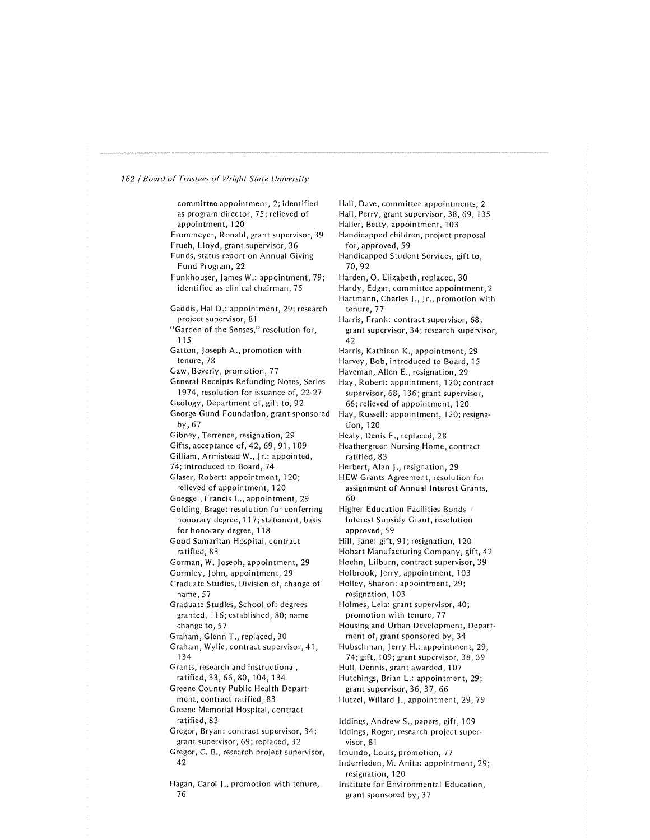committee appointment, 2; identified as program director, 75; relieved of appointment, 120 Frommeyer, Ronald, grant supervisor, 39 Frueh, Lloyd, grant supervisor, 36 Funds, status report on Annual Giving Fund Program, 22 Funkhouser, James W.: appointment, 79; identified as clinical chairman, 75 Gaddis, Hal D.: appointment, 29; research project supervisor, 81 "Garden of the Senses," resolution for, 115 Gatton, Joseph A., promotion with tenure, 78 Gaw, Beverly, promotion, 77 General Receipts Refunding Notes, Series 1974, resolution for issuance of, 22-27 Geology, Department of, gift to, 92 George Gund Foundation, grant sponsored by,67 Gibney, Terrence, resignation, 29 Gifts, acceptance of, 42, 69, 91, 109 Gilliam, Armistead W ., Jr.: appointed, 74; introduced to Board, 74 Glaser, Robert: appointment, 120; relieved of appointment, 120 Goeggel, Francis L., appointment, 29 Golding, Brage: resolution for conferring honorary degree, 117; statement, basis for honorary degree, 118 Good Samaritan Hospital, contract ratified, 83 Gorman, W. Joseph, appointment, 29 Gormley, John., appointment, 29 Graduate Studies, Division of, change of name, 57 Graduate Studies, School of: degrees granted, 116; established, 80; name change to, 57 Graham, Glenn T., replaced, 30 Graham, Wylie, contract supervisor, 41, 134 Grants, research and instructional, ratified, 33, 66, 80, 104, 134 Greene County Public Health Depart ment, contract ratified, 83 Greene Memorial Hospital, contract ratified, 83 Gregor, Bryan: contract supervisor, 34; grant supervisor, 69; replaced, 32 Gregor, C. B., research project supervisor, 42 Hagan, Carol J., promotion with tenure, 76

Hall, Dave, committee appointments, 2 Hall, Perry, grant supervisor, 38, 69, 135 Haller, Betty, appointment, 103 Handicapped children, project proposal for, approved, 59 Handicapped Student Services, gift to, 70,92 Harden, 0. Elizabeth, replaced, 30 Hardy, Edgar, committee appointment, 2 Hartmann, Charles J., Jr., promotion with tenure, 77 Harris, Frank: contract supervisor, 68; grant supervisor, 34; research supervisor, 42 Harris, Kathleen K., appointment, 29 Harvey, Bob, introduced to Board, 15 Haveman, Allen E., resignation, 29 Hay, Robert: appointment, 120; contract supervisor, 68, 136; grant supervisor, 66; relieved of appointment, 120 Hay, Russell: appointment, 120; resigna tion, 120 Healy, Denis F., replaced, 28 Heathergreen Nursing Home, contract ratified, 83 Herbert, Alan J., resignation, 29 HEW Grants Agreement, resolution for assignment of Annual Interest Grants, 60 Higher Education Facilities Bonds-Interest Subsidy Grant, resolution approved, 59 Hill, Jane: gift, 91; resignation, 120 Hobart Manufacturing Company, gift, 42 Hoehn, Lilburn, contract supervisor, 39 Holbrook, Jerry, appointment, 103 Holley, Sharon: appointment, 29; resignation, 103 Holmes, Lela: grant supervisor, 40; promotion with tenure, 77 Housing and Urban Development, Depart ment of, grant sponsored by, 34 Hubschman, Jerry H.:.appointment, 29, 74; gift, 109; grant supervisor, 38, 39 Hull, Dennis, grant awarded, 107 Hutchings, Brian L.: appointment, 29; grant supervisor, 36, 37, 66 Hutzel, Willard J., appointment, 29, 79 Iddings, Andrew S., papers, gift, 109 Iddings, Roger, research project super visor, 81 lmundo, Louis, promotion, 77 lnderrieden, M. Anita: appointment, 29; resignation, 120 Institute for Environmental Education,

grant sponsored by, 3 7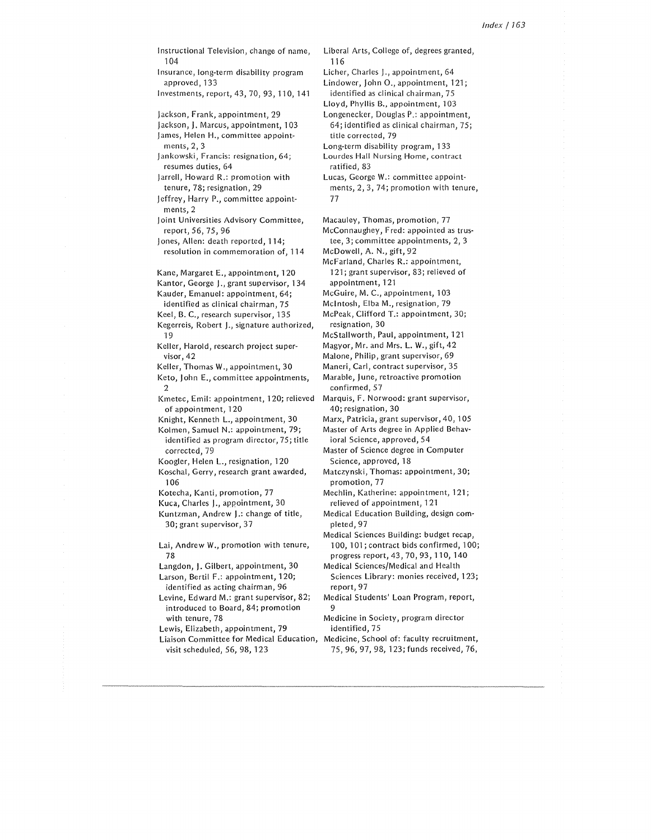Instructional Television, change of name, 104 Insurance, long-term disability program approved, 133 lnvestments,report,43, 70, 93, 110, 14·1 Jackson, Frank, appointment, 29 Jackson, J. Marcus, appointment, 103 James, Helen H., committee appointments, 2, 3 Jankowski, Francis: resignation, 64; resumes duties, 64 Jarrell, Howard R.: promotion with tenure, 78; resignation, 29 Jeffrey, Harry P., committee appoint ments, 2 joint Universities Advisory Committee, report, 56, 75, 96 Jones, Allen: death reported, 114; resolution in commemoration of, 114 Kane, Margaret E., appointment, 120 Kantor, George J., grant supervisor, 134 Kauder, Emanuel: appointment, 64; identified as clinical chairman, 75 Keel, B. C., research supervisor, 135 Kegerreis, Robert )., signature authorized, 19 Keller, Harold, research project super visor, 42 Keller, Thomas W., appointment, 30 Keto, John E., committee appointments, 2 Kmetec, Emil: appointment, 120; relieved of appointment, 120 Knight, Kenneth L., appointment, 30 Kolmen, Samuel N.: appointment, 79; identified as program director, 75; title corrected, 79 Koogler, Helen L., resignation, 120 Koschal, Gerry, research grant awarded, 106 Kotecha, Kanti, promotion, 77 Kuca, Charles J., appointment, 30 Kuntzman, Andrew J.: change of title, 30; grant supervisor, 37 Lai, Andrew W., promotion with tenure, 78 Langdon, J. Gilbert, appointment, 30 Larson, Bertil F.: appointment, 120; identified as acting chairman, 96 Levine, Edward M.: grant supervisor, 82; introduced to Board, 84; promotion with tenure, 78 Lewis, Elizabeth, appointment, 79 Liaison Committee for Medical Education, Medicine, School of: faculty recruitment, visit scheduled, 56, 98, 123

Liberal Arts, College of, degrees granted, 116 Licher, Charles J., appointment, 64

Lindower, John O., appointment, 121; identified as clinical chairman, 75

Lloyd, Phyllis B., appointment, 103 Longenecker, Douglas P.: appointment, 64; identified as clinical chairman, 75; title corrected, 79

Long-term disability program, 133

Lourdes Hall Nursing Home, contract ratified, 83

Lucas, George W.: committee appoint ments, 2, 3, 74; promotion with tenure, 77

Macauley, Thomas, promotion, 77

Mcconnaughey, Fred: appointed as trus tee, 3; committee appointments, 2, 3

McDowell, A. N., gift, 92

McFarland, Charles R.: appointment, 121; grant supervisor, 83; relieved of appointment, 121

McGuire, M. C., appointment, 103

Mcintosh, Elba M., resignation, 79

McPeak, Clifford T.: appointment, 30; resignation, 30

McStallworth, Paul, appointment, 121

Magyor, Mr. and Mrs. L. W., gift, 42

Malone, Philip, grant supervisor, 69

Maneri, Carl, contract supervisor, 35

Marable, June, retroactive promotion confirmed, 57

Marquis, F. Norwood: grant supervisor, 40; resignation, 30

Marx, Patricia, grant supervisor, 40, 105 Master of Arts degree in Applied Behav

ioral Science, approved, 54 Master of Science degree in Computer Science, approved, 18

Matczynski, Thomas: appointment, 30; promotion, 77

Mechlin, Katherine: appointment, 121; relieved of appointment, 121

Medical Education Building, design com pleted, 97

Medical Sciences Building: budget recap, 100, 101; contract bids confirmed, 100; progress report, 43, 70, 93, 110, 140

Medical Sciences/Medical and Health Sciences Library: monies received, 123; report, 97

Medical Students' Loan Program, report, 9

Medicine in Society, program director identified, 75

75, 96, 97, 98, 123; funds received, 76,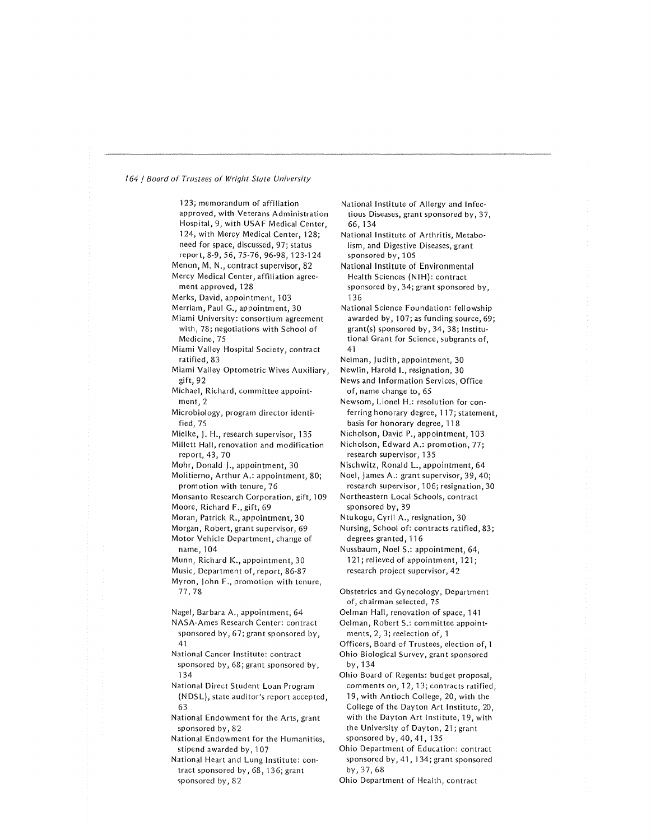123; memorandum of affiliation approved, with Veterans Administration Hospital, 9, with USAF Medical Center, 124, with Mercy Medical Center, 128; need for space, discussed, 97; status report, 8-9, 56, 75-76, 96-98, 123-124 Menon, M. N., contract supervisor, 82 Mercy Medical Center, affiliation agreement approved, 128 Merks, David, appointment, 103 Merriam, Paul G., appointment, 30 Miami University: consortium agreement with, 78; negotiations with School of Medicine, 75 Miami Valley Hospital Society, contract ratified, 83 Miami Valley Optometric Wives Auxiliary, gift, 92 Michael, Richard, committee appoint ment, 2 Microbiology, program director identi fied, 75 Mielke, J. H., research supervisor, 135 Millett Hall, renovation and modification report, 43, 70 Mohr, Donald J., appointment, 30 Molitierno, Arthur A.: appointment, 80; promotion with tenure, 76 Monsanto Research Corporation, gift, 109 Moore, Richard F., gift, 69 Moran, Patrick R., appointment, 30 Morgan, Robert, grant supervisor, 69 Motor Vehicle Department, change of name, 104 Munn, Richard K., appointment, 30 Music, Department of, report, 86-87 Myron, John F., promotion with tenure, 77, 78 Nagel, Barbara A., appointment, 64 NASA-Ames Research Center: contract sponsored by, 67; grant sponsored by, 41 National Cancer Institute: contract sponsored by, 68; grant sponsored by, 134 National Direct Student Loan Program (N DS L), state auditor's report accepted, 63 National Endowment for the Arts, grant sponsored by, 82 National Endowment for the Humanities, stipend awarded by, 107 National Heart and Lung Institute: con tract sponsored by, 68, 136; grant sponsored by, 82

National Institute of Allergy and Infec tious Diseases, grant sponsored by, 37, 66, 134

National Institute of Arthritis, Metabo lism, and Digestive Diseases, grant sponsored by, 105

National Institute of Environmental Health Sciences (NIH): contract sponsored by, 34; grant sponsored by, 136

National Science Foundation: fellowship awarded by,  $107$ ; as funding source,  $69$ ; grant(s) sponsored by, 34, 38; Institu tional Grant for Science, subgrants of, 41

- Neiman, Judith, appointment, 30
- Newlin, Harold I., resignation, 30

News and Information Services, Office of, name change to, 65

Newsom, Lionel H.: resolution for con ferring honorary degree, 117; statement, basis for honorary degree, 11 8

Nicholson, David P., appointment, 103

Nicholson, Edward A.: promotion, 77; research supervisor, 135

Nischwitz, Ronald L., appointment, 64

Noel, James A.: grant supervisor, 39, 40; research supervisor, 106; resignation, 30

Northeastern Local Schools, contract sponsored by, 39

Ntukogu, Cyril A., resignation, 30

Nursing, School of: contracts ratified, 83; degrees granted, 116

Nussbaum, Noel S.: appointment, 64, 121; relieved of appointment, 121; research project supervisor, 42

Obstetrics and Gynecology, Department of, chairman selected, 75

Oelman Hall, renovation of space, 141

Oelman, Robert S.: committee appoint ments, 2, 3; reelection of, 1

- Officers, Board of Trustees, election of, 1
- Ohio Biological Survey, grant sponsored by, 134
- Ohio Board of Regents: budget proposal, comments on, 12, 13; contracts ratified, 19, with Antioch College, 20, with the College of the Dayton Art Institute, 20, with the Dayton Art Institute, 19, with the University of Dayton, 21; grant sponsored by, 40, 41, 135

Ohio Department of Education: contract sponsored by, 41, 134; grant sponsored by,37,68

Ohio Department of Health, contract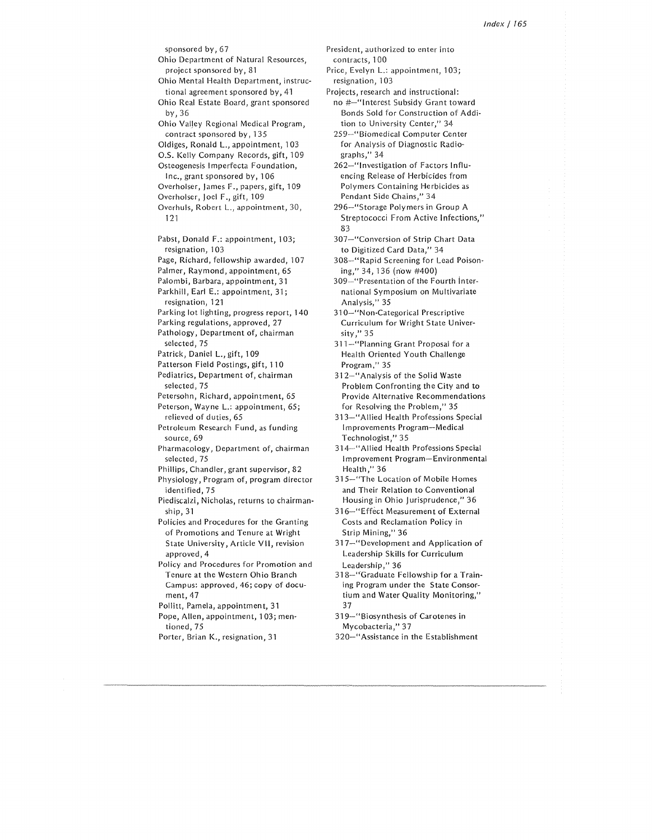sponsored by, 67 Ohio Department of Natural Resources, project sponsored by, 81 Ohio Mental Health Department, instructional agreement sponsored by, 41 Ohio Real Estate Board, grant sponsored by,36 Ohio Valley Regional Medical Program, contract sponsored by, 135 Oldigcs, Ronald L., appointment, 103 0.S. Kelly Company Records, gift, 109 Osteogenesis lmperfecta Foundation, Inc., grant sponsored by, 106 Overholser, James F., papers, gift, 109 Overholser, Joel F., gift, 109 Overhuls, Robert L., appointment, 30, 121 Pabst, Donald F.: appointment, 103; resignation, 103 Page, Richard, fellowship awarded, 107 Palmer, Raymond, appointment, 65 Palombi, Barbara, appointment, 31 Parkhill, Earl E.: appointment, 31; resignation, 121 Parking lot lighting, progress report, 140 Parking regulations, approved, 27 Pathology, Department of, chairman selected, 75 Patrick, Daniel L., gift, 109 Patterson Field Postings, gift, 110 Pediatrics, Department of, chairman selected, 75 Petersohn, Richard, appointment, 65 Peterson, Wayne L.: appointment, 65; relieved of duties, 65 Petroleum Research Fund, as funding source, 69 Pharmacology, Department of, chairman selected, 75 Phillips, Chandler, grant supervisor, 82 Physiology, Program of, program director identified, 75 Piediscalzi, Nicholas, returns to chairmanship, 31 Policies and Procedures for the Granting of Promotions and Tenure at Wright State University, Article VII, revision approved, 4 Policy and Procedures for Promotion and Tenure at the Western Ohio Branch Campus: approved, 46; copy of document, 47 Pollitt, Pamela, appointment, 31 Pope, Allen, appointment, 103; mentioned, 75 Porter, Brian K., resignation, 31

- President, authorized to enter into contracts, 100
- Price, Evelyn L.: appointment, 103; resignation, 103
- Projects, research and instructional: no #-"Interest Subsidy Grant toward Bonds Sold for Construction of Addition to University Center," 34
	- 259-"Biomedical Computer Center for Analysis of Diagnostic Radio graphs," 34
	- 262-"lnvcstigation of Factors Influ encing Release of Herbicides from Polymers Containing Herbicides as Pendant Side Chains," 34
	- 296-"Storage Polymers in Group A Streptococci From Active Infections," 83
	- 307-"Conversion of Strip Chart Data to Digitized Card Data," 34
	- 308-"Rapid Screening for Lead Poisoning," 34, 136 (now #400)
	- 309-"Presentation of the Fourth international Symposium on Multivariate Analysis," 35
	- 310-"Non-Categorical Prescriptive Curriculum for Wright State University ,'' 35
	- 311--"Planning Grant Proposal for a Health Oriented Youth Challenge Program," 35
	- 312-"Analysis of the Solid Waste Problem Confronting the City and to Provide Alternative Recommendations for Resolving the Problem," 35
	- 313-"Allied Health Professions Special Improvements Program-Medical Technologist," 35
	- 314-" Allied Health Professions Special Improvement Program-Environmental Health," 36
	- 315-"The Location of Mobile Homes and Their Relation to Conventional Housing in Ohio jurisprudence," 36
	- 316-"Effect Measurement of External Costs and Reclamation Policy in Strip Mining," 36
	- 317-"Development and Application of Leadership Skills for Curriculum Leadership," 36
	- 318-"Graduate Fellowship for a Training Program under the State Consortium and Water Quality Monitoring,'' 37
	- 319-"Biosynthesis of Carotenes in Mycobacteria," 37
	- 320-"Assistance in the Establishment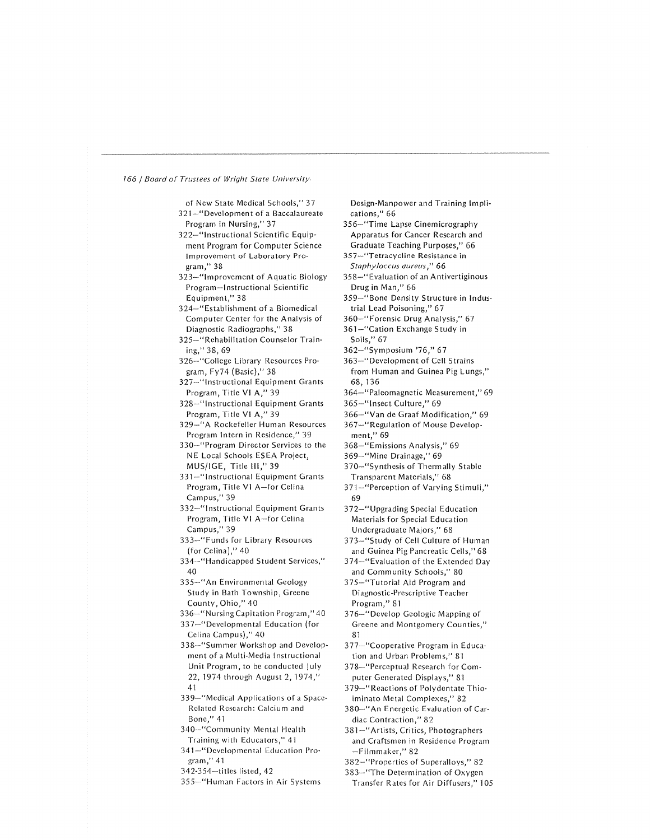| of New State Medical Schools," 37     |
|---------------------------------------|
|                                       |
| 321-"Development of a Baccalaureate   |
| Program in Nursing," 37               |
| 322—"Instructional Scientific Equip-  |
| ment Program for Computer Science     |
|                                       |
| Improvement of Laboratory Pro-        |
| gram," 38                             |
| 323-"Improvement of Aquatic Biology   |
| Program-Instructional Scientific      |
| Equipment," 38                        |
|                                       |
| 324-"Establishment of a Biomedical    |
| Computer Center for the Analysis of   |
| Diagnostic Radiographs," 38           |
| 325-"Rehabilitation Counselor Train-  |
| ing," 38, 69                          |
| 326-"College Library Resources Pro-   |
|                                       |
| gram, Fy74 (Basic)," 38               |
| 327-"Instructional Equipment Grants   |
| Program, Title VI A," 39              |
| 328-"Instructional Equipment Grants   |
| Program, Title VI A," 39              |
| 329-"A Rockefeller Human Resources    |
|                                       |
| Program Intern in Residence," 39      |
| 330-"Program Director Services to the |
| NE Local Schools ESEA Project,        |
| MUS/IGE, Title III," 39               |
| 331-"Instructional Equipment Grants   |
|                                       |
| Program, Title VI A-for Celina        |
| Campus," 39                           |
| 332-"Instructional Equipment Grants   |
| Program, Title VI A-for Celina        |
| Campus," 39                           |
| 333-"Funds for Library Resources      |
|                                       |
| (for Celina)," 40                     |
| 334 - "Handicapped Student Services," |
| 40                                    |
| 335-"An Environmental Geology         |
| Study in Bath Township, Greene        |
| County, Ohio," 40                     |
|                                       |
| 336-"Nursing Capitation Program," 40  |
| 337-"Developmental Education (for     |
| Celina Campus)," 40                   |
| 338-"Summer Workshop and Develop-     |
| ment of a Multi-Media Instructional   |
| Unit Program, to be conducted July    |
|                                       |
| 22, 1974 through August 2, 1974,"     |
| 41                                    |
| 339-"Medical Applications of a Space- |
| Related Research: Calcium and         |
| Bone," 41                             |
|                                       |
| 340-"Community Mental Health          |
| Training with Educators," 41          |
| 341–"Developmental Education Pro-     |
| gram," 41                             |
| 342-354-titles listed, 42             |
| 355-"Human Factors in Air Systems     |
|                                       |

Design-Manpower and Training Impli cations," 66

356-"Time Lapse Cinemicrography Apparatus for Cancer Research and Graduate Teaching Purposes," 66

- 357-"Tetracycline Resistance in Staphy/occus aureus ," 66
- 358-"Evaluation of an Antivertiginous Drug in Man," 66
- 359-"Bone Density Structure in Indus trial Lead Poisoning," 67
- 360-"Forensic Drug Analysis," 67
- 361-"Cation Exchange Study in Soils," 67
- 362-"Symposium '76," 67
- 363-"Developrnent of Cell Strains from Human and Guinea Pig Lungs," 68, 136
- 364-"Paleomagnetic Measurement," 69
- 365-"lnsect Culture," 69
- 366-"Van de Graaf Modification," 69
- 367-" Regulation of Mouse Development," 69
- 368-"Emissions Analysis," 69
- 369-"Minc Drainage," 69
- 370-"Synthesis of Thermally Stable Transparent Materials," 68
- 371-"Perception of Varying Stimuli," 69
- 372-"Upgrading Special Education Materials for Special Education Undergraduate Majors," 68
- 373-"Study of Cell Culture of Human and Guinea Pig Pancreatic Cells," 68
- 374--"Evaluation of the Extended Day and Community Schools," 80
- 375-"Tutorial Aid Program and Diagnostic-Prescriptive Teacher Program," 81
- 376-"Develop Geologic Mapping of Greene and Montgomery Counties," 81
- 377·-"Cooperative Program in Educa tion and Urban Problems,'' 81
- 378--''Perceptual Research for Computer Generated Displays," 81
- 379--"Reactions of Polydentate Thio iminato Metal Complexes," 82
- 380-"An Energetic Evaluation of Car diac Contraction," 82
- 381-"Artists, Critics, Photographers and Craftsmen in Residence Program -Filmmaker," 82
- 382-"Properlies of Superalloys," 82
- 383-"The Determination of Oxygen Transfer Rates for Air Diffusers," 105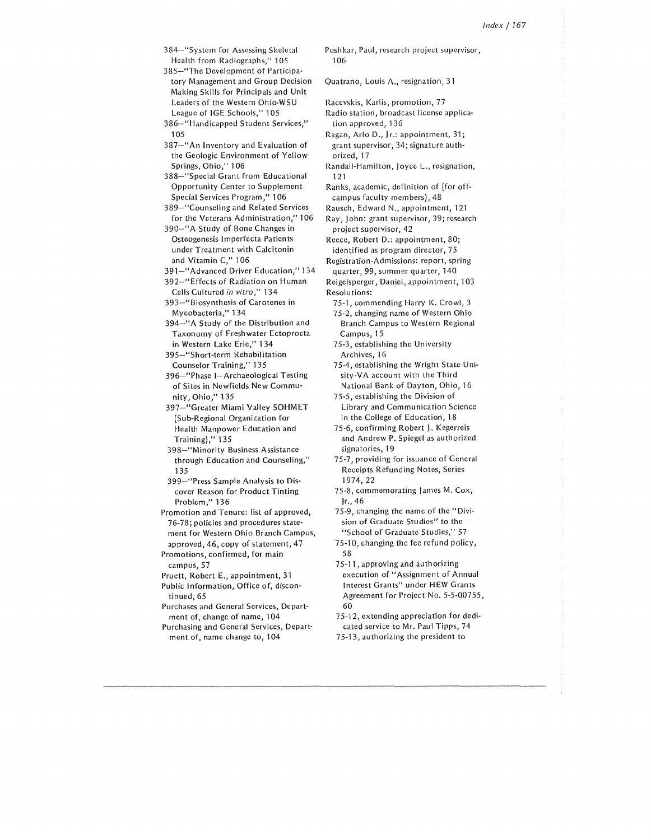384-"System for Assessing Skeletal Health from Radiographs," 105

385-"The Development of Participa tory Management and Group Decision Making Skills for Principals and Unit Leaders of the Western Ohio-WSU League of IGE Schools," 105

105 386-"Handicapped Student Services,"

387-"An Inventory and Evaluation of the Geologic Environment of Yellow Springs, Ohio," 106

388-"Special Grant from Educational Opportunity Center to Supplement Special Services Program," 106

389-"Counseling and Related Services for the Veterans Administration," 106

390-"A Study of Bone Changes in Osteogenesis Imperfecta Patients under Treatment with Calcitonin and Vitamin C," 106

391-"Advanced Driver Education," 134

392-"Effects of Radiation on Human Cells Cultured *in vitro,"* 134

393-"Biosynthesis of Carotenes in Mycobacteria," 134

394-"A Study of the Distribution and Taxonomy of Freshwater Ectoprocta in Western Lake Erie," 134

395-"Short-term Rehabilitation Counselor Training," 135

396-"Phase I-Archaeological Testing of Sites in Newfields New Commu· nity, Ohio," 135

397-"Greater Miami Valley SOHMET (Sub-Regional Organization for Health Manpower Education and Training)," 135

398-"Minority Business Assistance through Education and Counseling," 135

399-"Press Sample Analysis to Dis· cover Reason for Product Tinting Problem," 136

Promotion and Tenure: list of approved, 76-78; policies and procedures state· ment for Western Ohio Branch Campus, approved, 46, copy of statement, 47

Promotions, confirmed, for main campus, 57

Pruett, Robert E., appointment, 31

Public Information, Office of, discon· tinued, 65

Purchases and General Services, Depart· ment of, change of name, 104

Purchasing and General Services, Depart· ment of, name change to, 104

Pushkar, Paul, research project supervisor, 106

Quatrano, Louis A., resignation, 31

Racevskis, Karlis, promotion, 77

Radio station, broadcast license applica tion approved, 136

Ragan, Ario D., Jr.: appointment, 31; grant supervisor, 34; signature au th· orized, 17

Randall-Hamilton, Joyce L., resignation, 121

Ranks, academic, definition of (for off· campus faculty members), 48

Rausch, Edward N., appointment, 121

Ray, John: grant supervisor, 39; research project supervisor, 42

Reece, Robert D.: appointment, 80; identified as program director, 75

Registration-Admissions: report, spring quarter, 99, summer quarter, 140

Reigelsperger, Daniel, appointment, 103 Resolutions:

75·1, commending Harry K. Crowl, 3

75-2, changing name of Western Ohio Branch Campus to Western Regional Campus, 15

75-3, establishing the University Archives, 16

75-4, establishing the Wright State Uni· sity-VA account with the Third National Bank of Dayton, Ohio, 16

75-5, establishing the Division of Library and Communication Science in the College of Education, 18

75-6, confirming Robert J. Kegcrreis and Andrew P. Spiegel as authorized signatories, 19

75-7, providing for issuance of General Receipts Refunding Notes, Series 1974, 22

75-8, commemorating James M. Cox, Jr., 46

75-9, changing the name of the "Divi· sion of Graduate Studies" to the "School of Graduate Studies," 57

75-10, changing the fee refund policy, 58

75·11, approving and authorizing execution of "Assignment of Annual Interest Grants" under HEW Grants Agreement for Project No. 5-5-00755, 60

75·12, extending appreciation for dedi· cated service to Mr. Paul Tipps, 74 75-13, authorizing the president to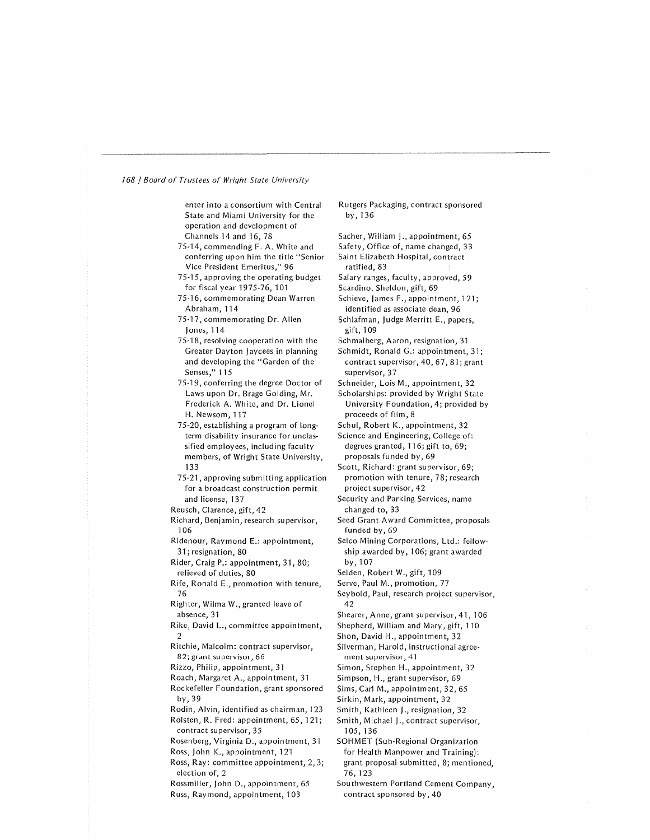enter into a consortium with Central State and Miami University for the operation and development of Channels 14 and 16, 78

- 75-14, commending F. A. White and conferring upon him the title "Senior Vice President Emeritus," 96
- 75-15, approving the operating budget for fiscal year 1975-76, 101
- 75-16, commemorating Dean Warren Abraham, 114
- 75-17, commemorating Dr. Allen Jones, 114
- 75-18, resolving cooperation with the Greater Dayton Jaycees in planning and developing the "Garden of the Senses," 115
- 75-19, conferring the degree Doctor of Laws upon Dr. Brage Golding, Mr. Frederick A. White, and Dr. Lionel H. Newsom, 117
- 75-20, establishing a program of long term disability insurance for unclas sified employees, including faculty members, of Wright State University, 133
- 75-21, approving submitting application for a broadcast construction permit and license, 137
- Reusch, Clarence, gift, 42
- Richard, Benjamin, research supervisor, 106
- Ridenour, Raymond E.: appointment, 31 ; resignation, 80
- Rider, Craig P.: appointment, 31, 80; relieved of duties, 80
- Rife, Ronald E., promotion with tenure, 76
- Righter, Wilma W., granted leave of absence, 31
- Rike, David L., committee appointment, 2
- Ritchie, Malcolm: contract supervisor, 82; grant supervisor, 66
- Rizzo, Philip, appointment, 31
- Roach, Margaret A., appointment, 31
- Rockefeller Foundation, grant sponsored by,39
- Rodin, Alvin, identified as chairman, 123
- Rolsten, R. Fred: appointment, 65, 121; contract supervisor, 35
- Rosenberg, Virginia D., appointment, 31 Ross, John K., appointment, 121
- Ross, Ray: committee appointment, 2, 3; election of, 2
- Rossmiller, John D., appointment, 65
- Russ, Raymond, appointment, 103

Rutgers Packaging, contract sponsored by, 136

- Sacher, William J., appointment, 65
- Safety, Office of, name changed, 33 Saint Elizabeth Hospital, contract
- ratified, 83
- Salary ranges, faculty, approved, 59
- Scardino, Sheldon, gift, 69
- Schieve, James F., appointment, 121; identified as associate dean, 96
- Schlafman, Judge Merritt E., papers, gift, 1 09
- Schmalberg, Aaron, resignation, 31
- Schmidt, Ronald G.: appointment, 31; contract supervisor, 40, 67, 81; grant supervisor, 37
- Schneider, Lois M., appointment, 32
- Scholarships: provided by Wright State University Foundation, 4; provided by proceeds of film, 8
- Schul, Robert K., appointment, 32
- Science and Engineering, College of: degrees granted, 116; gift to, 69; proposals funded by, 69
- Scott, Richard: grant supervisor, 69; promotion with tenure, 78; research project supervisor, 42
- Security and Parking Services, name changed to, 33
- Seed Grant Award Committee, proposals funded by, 69
- Selco Mining Corporations, Ltd.: fellow ship awarded by, 106; grant awarded by, 107
- Selden, Robert W., gift, 109
- Serve, Paul M., promotion, 77

Seybold, Paul, research project supervisor, 42

- Shearer, Anne, grant supervisor, 41, 106
- Shepherd, William and Mary, gift, 110

Shon, David H., appointment, 32

- Silverman, Harold, instructional agreement supervisor, 41
- Simon, Stephen H., appointment, 32
- Simpson, H., grant supervisor, 69
- Sims, Carl M., appointment, 32, 65
- Sirkin, Mark, appointment, 32
- Smith, Kathleen J., resignation, 32
- Smith, Michael J., contract supervisor, 105, 136
- SOHMET (Sub-Regional Organization for Health Manpower and Training): grant proposal submitted, 8; mentioned, 76, 123
- Southwestern Portland Cement Company, contract sponsored by, 40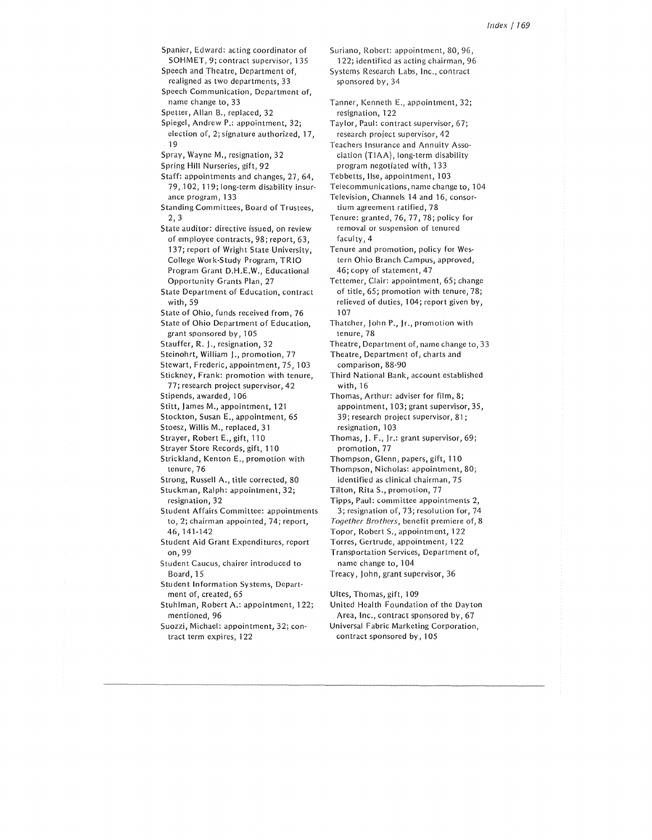Spanier, Edward: acting coordinator or SOHMET, 9; contract supervisor, 135

Speech and Theatre, Department of, realigned as two departments, 33

Speech Communication, Department of, name change to, 33

Spetter, Allan B., replaced, 32

Spiegel, Andrew P.: appointment, 32;

19 election of, 2; signature authorized, 17,

- Spray, Wayne M., resignation, 32
- Spring Hill Nurseries, gift, 92

Staff: appointments and changes, 27, 64, 79, .102, 119; long-term disability insur ance program, 133

- Standing Committees, Board of Trustees, 2, 3
- State auditor: directive issued, on review of employee contracts, 98; report, 63, 137; report of Wright State University, College Work-Study Program, TRIO Program Grant D.H.E.W., Educational Opportunity Grants Plan, 27

State Department of Education, contract with, 59

State of Ohio, funds received from, 76

State of Ohio Department of Education, grant sponsored by, 105

Stauffer, R. J., resignation, 32

- Steinohrt, William J., promotion, 77
- Stewart, Frederic, appointment, 75, 103
- Stickney, Frank: promotion with tenure, 77; research project supervisor, 42

Stipends, awarded, 106

- Stitt, James M., appointment, 121
- Stockton, Susan E., appointment, 65
- Stoesz, Willis M., replaced, 31
- Strayer, Robert E., gift, 110
- Strayer Store Records, gift, 110

Strickland, Kenton E., promotion with tenure, 76

Strong, Russell A., title corrected, 80

Stuckman, Ralph: appointment, 32; resignation, 32

Student Affairs Committee: appointments to, 2; chairman appointed, 74; report, 46, 141-142

Student Aid Grant Expenditures, report on,99

- Student Caucus, chairer introduced to Board, 15
- Student Information Systems, Depart ment of, created, 65
- Stuhlman, Robert A.: appointment, 122; mentioned, 96

Suozzi, Michael: appointment, 32; con tract term expires, 122

Suriano, Robert: appointment, 80, 96, 122; identified as acting chairman, 96

Systems Research Labs, Inc., contract sponsored by, 34

Tanner, Kenneth E., appointment, 32; resignation, 122

Taylor, Paul: contract supervisor, 67; research project supervisor, 42

Teachers Insurance and Annuity Asso ciation (TIAA), long-term disability program negotiated with, 133

Tebbetts, Ilse, appointment, 103

Telecommunications, name change to, 104

Television, Channels 14 and 16, consortium agreement ratified, 78

Tenure: granted, 76, 77, 78; policy for removal or suspension of tenured faculty, 4

Tenure and promotion, policy for Wes tern Ohio Branch Campus, approved, 46; copy of statement, 47

Tettemer, Clair: appointment, 65; change of title, 65; promotion with tenure, 78; relieved of duties, 104; report given by, 107

Thatcher, John P., Jr., promotion with tenure, 78

Theatre, Department of, name change to, 33

Theatre, Department of, charts and comparison, 88-90

Third National Bank, account established with, 16

Thomas, Arthur: adviser for film, 8; appointment, 103; grant supervisor, 35, 39; research project supervisor, 81; resignation, 103

- Thomas, J. F., Jr.: grant supervisor, 69; promotion, 77
- Thompson, Glenn, papers, gift, 110
- Thompson, Nicholas: appointment, 80; identified as clinical chairman, 75
- Tilton, Rita S., promotion, 77
- Tipps, Paul: committee appointments 2,
- 3; resignation of, 73; resolution for, 74
- *Together Brothers,* benefit premiere of, 8
- Topor, Robert S., appointment, 122 Torres, Gertrude, appointment, 122

Transportation Services, Department of, name change to, 104

Treacy, John, grant supervisor, 36

Ultes, Thomas, gift, 109

- United Health Foundation of the Dayton Area, Inc., contract sponsored by, 67
- Universal Fabric Marketing Corporation, contract sponsored by, 105